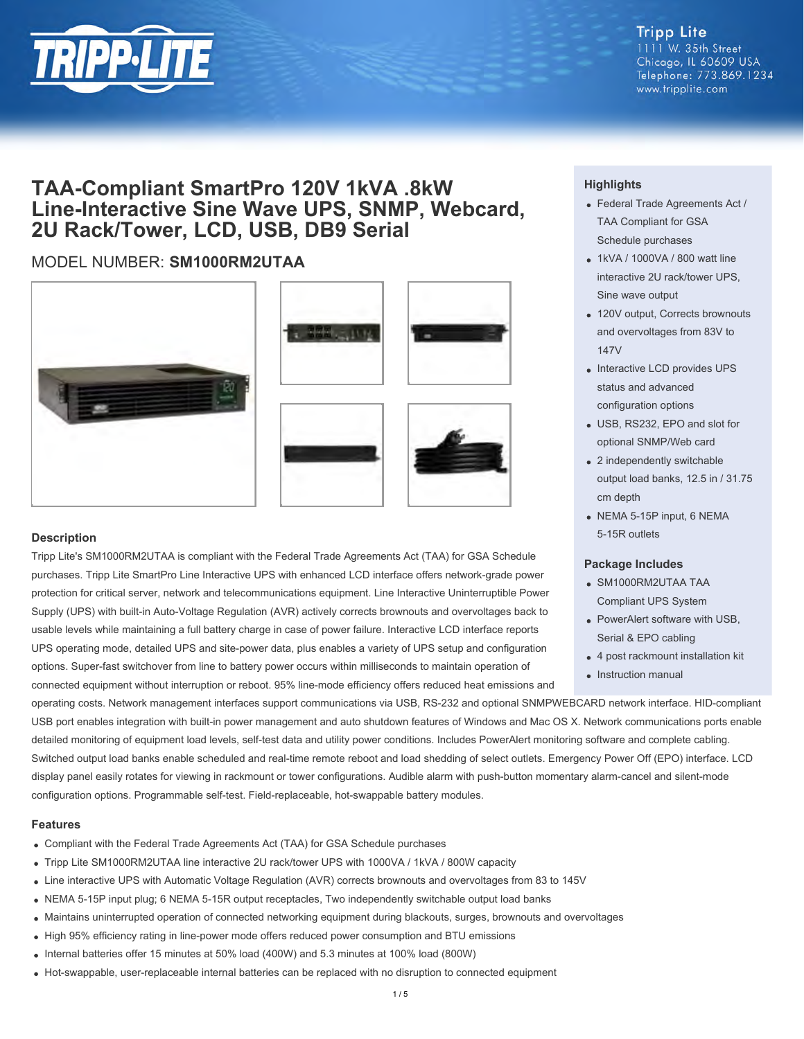

# **Tripp Lite**

1111 W. 35th Street Chicago, IL 60609 USA Telephone: 773.869.1234 www.tripplite.com

# **TAA-Compliant SmartPro 120V 1kVA .8kW Line-Interactive Sine Wave UPS, SNMP, Webcard, 2U Rack/Tower, LCD, USB, DB9 Serial**

## MODEL NUMBER: **SM1000RM2UTAA**







#### **Description**

Tripp Lite's SM1000RM2UTAA is compliant with the Federal Trade Agreements Act (TAA) for GSA Schedule purchases. Tripp Lite SmartPro Line Interactive UPS with enhanced LCD interface offers network-grade power protection for critical server, network and telecommunications equipment. Line Interactive Uninterruptible Power Supply (UPS) with built-in Auto-Voltage Regulation (AVR) actively corrects brownouts and overvoltages back to usable levels while maintaining a full battery charge in case of power failure. Interactive LCD interface reports UPS operating mode, detailed UPS and site-power data, plus enables a variety of UPS setup and configuration options. Super-fast switchover from line to battery power occurs within milliseconds to maintain operation of connected equipment without interruption or reboot. 95% line-mode efficiency offers reduced heat emissions and

### **Highlights**

- Federal Trade Agreements Act / TAA Compliant for GSA Schedule purchases
- 1kVA / 1000VA / 800 watt line interactive 2U rack/tower UPS, Sine wave output
- 120V output, Corrects brownouts and overvoltages from 83V to 147V
- Interactive LCD provides UPS status and advanced configuration options
- USB, RS232, EPO and slot for optional SNMP/Web card
- 2 independently switchable output load banks, 12.5 in / 31.75 cm depth
- NEMA 5-15P input, 6 NEMA 5-15R outlets

#### **Package Includes**

- SM1000RM2UTAA TAA Compliant UPS System
- PowerAlert software with USB, Serial & EPO cabling
- 4 post rackmount installation kit
- Instruction manual

operating costs. Network management interfaces support communications via USB, RS-232 and optional SNMPWEBCARD network interface. HID-compliant USB port enables integration with built-in power management and auto shutdown features of Windows and Mac OS X. Network communications ports enable detailed monitoring of equipment load levels, self-test data and utility power conditions. Includes PowerAlert monitoring software and complete cabling. Switched output load banks enable scheduled and real-time remote reboot and load shedding of select outlets. Emergency Power Off (EPO) interface. LCD display panel easily rotates for viewing in rackmount or tower configurations. Audible alarm with push-button momentary alarm-cancel and silent-mode configuration options. Programmable self-test. Field-replaceable, hot-swappable battery modules.

#### **Features**

- Compliant with the Federal Trade Agreements Act (TAA) for GSA Schedule purchases
- Tripp Lite SM1000RM2UTAA line interactive 2U rack/tower UPS with 1000VA / 1kVA / 800W capacity
- Line interactive UPS with Automatic Voltage Regulation (AVR) corrects brownouts and overvoltages from 83 to 145V
- NEMA 5-15P input plug; 6 NEMA 5-15R output receptacles, Two independently switchable output load banks
- Maintains uninterrupted operation of connected networking equipment during blackouts, surges, brownouts and overvoltages
- High 95% efficiency rating in line-power mode offers reduced power consumption and BTU emissions
- Internal batteries offer 15 minutes at 50% load (400W) and 5.3 minutes at 100% load (800W)
- Hot-swappable, user-replaceable internal batteries can be replaced with no disruption to connected equipment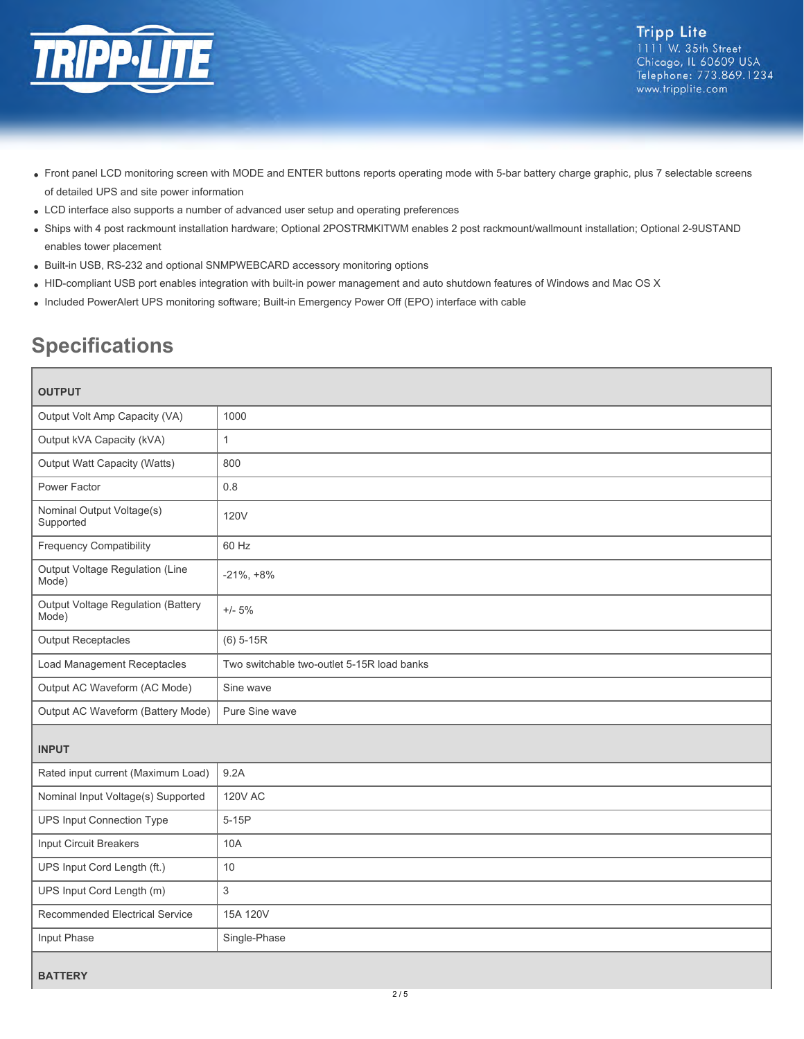

- Front panel LCD monitoring screen with MODE and ENTER buttons reports operating mode with 5-bar battery charge graphic, plus 7 selectable screens of detailed UPS and site power information
- LCD interface also supports a number of advanced user setup and operating preferences
- Ships with 4 post rackmount installation hardware; Optional 2POSTRMKITWM enables 2 post rackmount/wallmount installation; Optional 2-9USTAND enables tower placement
- Built-in USB, RS-232 and optional SNMPWEBCARD accessory monitoring options
- HID-compliant USB port enables integration with built-in power management and auto shutdown features of Windows and Mac OS X
- Included PowerAlert UPS monitoring software; Built-in Emergency Power Off (EPO) interface with cable

# **Specifications**

**BATTERY**

| <b>OUTPUT</b>                               |                                            |  |
|---------------------------------------------|--------------------------------------------|--|
| Output Volt Amp Capacity (VA)               | 1000                                       |  |
| Output kVA Capacity (kVA)                   | $\mathbf{1}$                               |  |
| Output Watt Capacity (Watts)                | 800                                        |  |
| Power Factor                                | 0.8                                        |  |
| Nominal Output Voltage(s)<br>Supported      | 120V                                       |  |
| <b>Frequency Compatibility</b>              | 60 Hz                                      |  |
| Output Voltage Regulation (Line<br>Mode)    | $-21\%$ , $+8\%$                           |  |
| Output Voltage Regulation (Battery<br>Mode) | $+/- 5%$                                   |  |
| <b>Output Receptacles</b>                   | $(6) 5-15R$                                |  |
| Load Management Receptacles                 | Two switchable two-outlet 5-15R load banks |  |
| Output AC Waveform (AC Mode)                | Sine wave                                  |  |
| Output AC Waveform (Battery Mode)           | Pure Sine wave                             |  |
| <b>INPUT</b>                                |                                            |  |
| Rated input current (Maximum Load)          | 9.2A                                       |  |
| Nominal Input Voltage(s) Supported          | <b>120V AC</b>                             |  |
| <b>UPS Input Connection Type</b>            | $5-15P$                                    |  |
| Input Circuit Breakers                      | 10A                                        |  |
| UPS Input Cord Length (ft.)                 | 10                                         |  |
| UPS Input Cord Length (m)                   | 3                                          |  |
| <b>Recommended Electrical Service</b>       | 15A 120V                                   |  |
| Input Phase                                 | Single-Phase                               |  |
|                                             |                                            |  |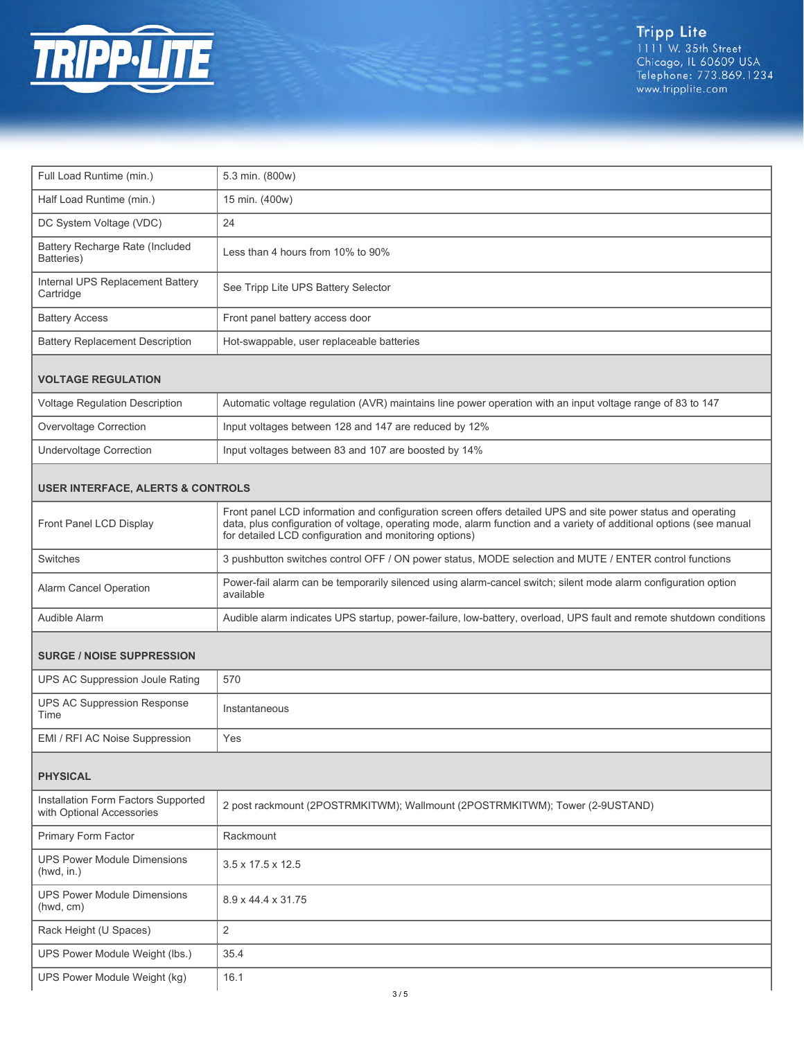

UPS Power Module Weight (kg) | 16.1

| Full Load Runtime (min.)                                         | 5.3 min. (800w)                                                                                                                                                                                                                                                                               |  |
|------------------------------------------------------------------|-----------------------------------------------------------------------------------------------------------------------------------------------------------------------------------------------------------------------------------------------------------------------------------------------|--|
| Half Load Runtime (min.)                                         | 15 min. (400w)                                                                                                                                                                                                                                                                                |  |
| DC System Voltage (VDC)                                          | 24                                                                                                                                                                                                                                                                                            |  |
| Battery Recharge Rate (Included<br>Batteries)                    | Less than 4 hours from 10% to 90%                                                                                                                                                                                                                                                             |  |
| Internal UPS Replacement Battery<br>Cartridge                    | See Tripp Lite UPS Battery Selector                                                                                                                                                                                                                                                           |  |
| <b>Battery Access</b>                                            | Front panel battery access door                                                                                                                                                                                                                                                               |  |
| <b>Battery Replacement Description</b>                           | Hot-swappable, user replaceable batteries                                                                                                                                                                                                                                                     |  |
| <b>VOLTAGE REGULATION</b>                                        |                                                                                                                                                                                                                                                                                               |  |
| Voltage Regulation Description                                   | Automatic voltage regulation (AVR) maintains line power operation with an input voltage range of 83 to 147                                                                                                                                                                                    |  |
| Overvoltage Correction                                           | Input voltages between 128 and 147 are reduced by 12%                                                                                                                                                                                                                                         |  |
| <b>Undervoltage Correction</b>                                   | Input voltages between 83 and 107 are boosted by 14%                                                                                                                                                                                                                                          |  |
| <b>USER INTERFACE, ALERTS &amp; CONTROLS</b>                     |                                                                                                                                                                                                                                                                                               |  |
| Front Panel LCD Display                                          | Front panel LCD information and configuration screen offers detailed UPS and site power status and operating<br>data, plus configuration of voltage, operating mode, alarm function and a variety of additional options (see manual<br>for detailed LCD configuration and monitoring options) |  |
| Switches                                                         | 3 pushbutton switches control OFF / ON power status, MODE selection and MUTE / ENTER control functions                                                                                                                                                                                        |  |
| Alarm Cancel Operation                                           | Power-fail alarm can be temporarily silenced using alarm-cancel switch; silent mode alarm configuration option<br>available                                                                                                                                                                   |  |
| <b>Audible Alarm</b>                                             | Audible alarm indicates UPS startup, power-failure, low-battery, overload, UPS fault and remote shutdown conditions                                                                                                                                                                           |  |
| <b>SURGE / NOISE SUPPRESSION</b>                                 |                                                                                                                                                                                                                                                                                               |  |
| UPS AC Suppression Joule Rating                                  | 570                                                                                                                                                                                                                                                                                           |  |
| <b>UPS AC Suppression Response</b><br>Time                       | Instantaneous                                                                                                                                                                                                                                                                                 |  |
| EMI / RFI AC Noise Suppression                                   | Yes                                                                                                                                                                                                                                                                                           |  |
| <b>PHYSICAL</b>                                                  |                                                                                                                                                                                                                                                                                               |  |
| Installation Form Factors Supported<br>with Optional Accessories | 2 post rackmount (2POSTRMKITWM); Wallmount (2POSTRMKITWM); Tower (2-9USTAND)                                                                                                                                                                                                                  |  |
| Primary Form Factor                                              | Rackmount                                                                                                                                                                                                                                                                                     |  |
| <b>UPS Power Module Dimensions</b><br>(hwd, in.)                 | 3.5 x 17.5 x 12.5                                                                                                                                                                                                                                                                             |  |
| <b>UPS Power Module Dimensions</b><br>(hwd, cm)                  | 8.9 x 44.4 x 31.75                                                                                                                                                                                                                                                                            |  |
| Rack Height (U Spaces)                                           | 2                                                                                                                                                                                                                                                                                             |  |
| UPS Power Module Weight (lbs.)                                   | 35.4                                                                                                                                                                                                                                                                                          |  |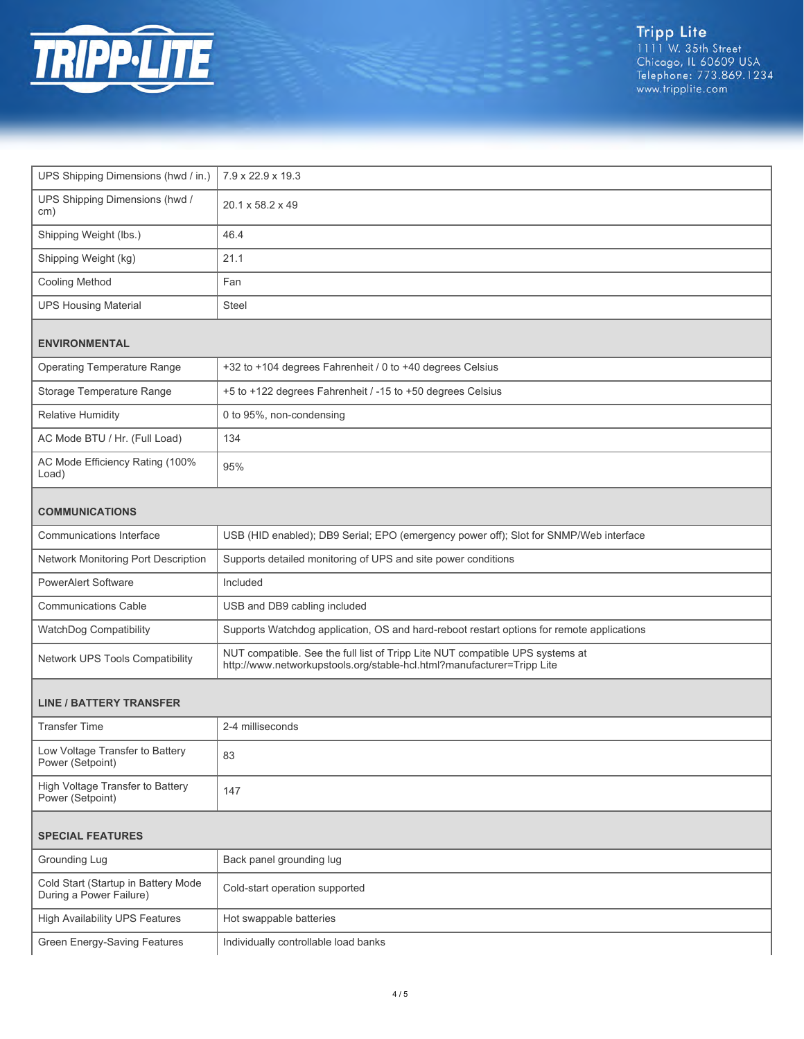

| UPS Shipping Dimensions (hwd / in.)                            | $7.9 \times 22.9 \times 19.3$                                                                                                                           |  |
|----------------------------------------------------------------|---------------------------------------------------------------------------------------------------------------------------------------------------------|--|
| UPS Shipping Dimensions (hwd /<br>cm)                          | $20.1 \times 58.2 \times 49$                                                                                                                            |  |
| Shipping Weight (lbs.)                                         | 46.4                                                                                                                                                    |  |
| Shipping Weight (kg)                                           | 21.1                                                                                                                                                    |  |
| Cooling Method                                                 | Fan                                                                                                                                                     |  |
| <b>UPS Housing Material</b>                                    | <b>Steel</b>                                                                                                                                            |  |
| <b>ENVIRONMENTAL</b>                                           |                                                                                                                                                         |  |
| <b>Operating Temperature Range</b>                             | +32 to +104 degrees Fahrenheit / 0 to +40 degrees Celsius                                                                                               |  |
| Storage Temperature Range                                      | +5 to +122 degrees Fahrenheit / -15 to +50 degrees Celsius                                                                                              |  |
| <b>Relative Humidity</b>                                       | 0 to 95%, non-condensing                                                                                                                                |  |
| AC Mode BTU / Hr. (Full Load)                                  | 134                                                                                                                                                     |  |
| AC Mode Efficiency Rating (100%<br>Load)                       | 95%                                                                                                                                                     |  |
| <b>COMMUNICATIONS</b>                                          |                                                                                                                                                         |  |
| Communications Interface                                       | USB (HID enabled); DB9 Serial; EPO (emergency power off); Slot for SNMP/Web interface                                                                   |  |
| Network Monitoring Port Description                            | Supports detailed monitoring of UPS and site power conditions                                                                                           |  |
| <b>PowerAlert Software</b>                                     | Included                                                                                                                                                |  |
| <b>Communications Cable</b>                                    | USB and DB9 cabling included                                                                                                                            |  |
| WatchDog Compatibility                                         | Supports Watchdog application, OS and hard-reboot restart options for remote applications                                                               |  |
| Network UPS Tools Compatibility                                | NUT compatible. See the full list of Tripp Lite NUT compatible UPS systems at<br>http://www.networkupstools.org/stable-hcl.html?manufacturer=Tripp Lite |  |
| <b>LINE / BATTERY TRANSFER</b>                                 |                                                                                                                                                         |  |
| <b>Transfer Time</b>                                           | 2-4 milliseconds                                                                                                                                        |  |
| Low Voltage Transfer to Battery<br>Power (Setpoint)            | 83                                                                                                                                                      |  |
| High Voltage Transfer to Battery<br>Power (Setpoint)           | 147                                                                                                                                                     |  |
| <b>SPECIAL FEATURES</b>                                        |                                                                                                                                                         |  |
| Grounding Lug                                                  | Back panel grounding lug                                                                                                                                |  |
| Cold Start (Startup in Battery Mode<br>During a Power Failure) | Cold-start operation supported                                                                                                                          |  |
| High Availability UPS Features                                 | Hot swappable batteries                                                                                                                                 |  |
| Green Energy-Saving Features                                   | Individually controllable load banks                                                                                                                    |  |